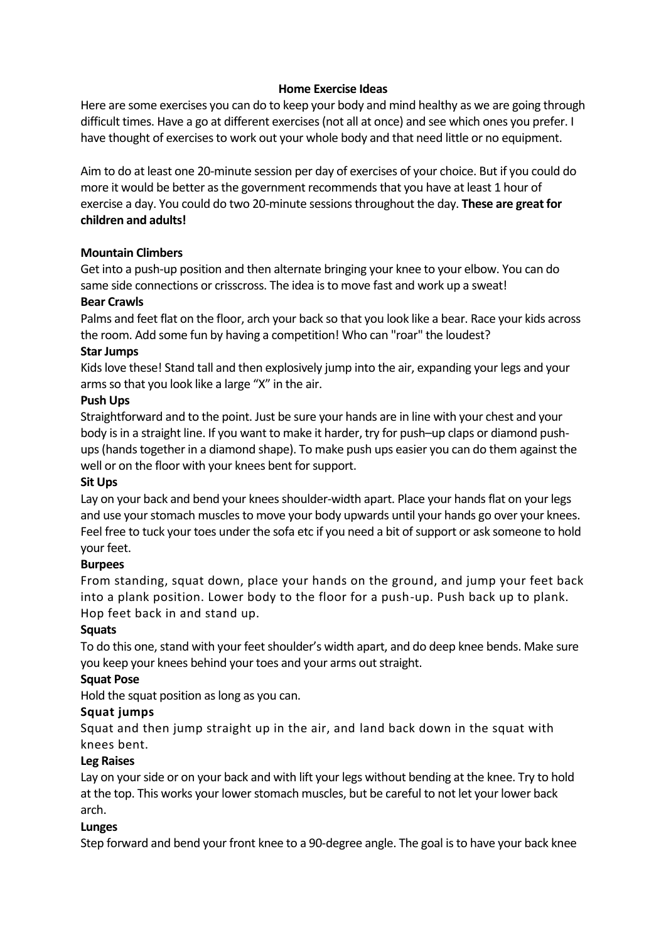#### **Home Exercise Ideas**

Here are some exercises you can do to keep your body and mind healthy as we are going through difficult times. Have a go at different exercises (not all at once) and see which ones you prefer. I have thought of exercises to work out your whole body and that need little or no equipment.

Aim to do at least one 20-minute session per day of exercises of your choice. But if you could do more it would be better as the government recommends that you have at least 1 hour of exercise a day. You could do two 20-minute sessionsthroughout the day. **These are great for children and adults!**

#### **Mountain Climbers**

Get into a push-up position and then alternate bringing your knee to your elbow. You can do same side connections or crisscross. The idea isto move fast and work up a sweat!

#### **Bear Crawls**

Palms and feet flat on the floor, arch your back so that you look like a bear. Race your kids across the room. Add some fun by having a competition! Who can "roar" the loudest?

#### **Star Jumps**

Kidslove these! Stand tall and then explosively jump into the air, expanding your legs and your arms so that you look like a large "X" in the air.

#### **Push Ups**

Straightforward and to the point. Just be sure your hands are in line with your chest and your body is in a straight line. If you want to make it harder, try for push-up claps or diamond pushups (hands together in a diamond shape). To make push ups easier you can do them against the well or on the floor with your knees bent for support.

## **Sit Ups**

Lay on your back and bend your knees shoulder-width apart. Place your hands flat on your legs and use your stomach muscles to move your body upwards until your hands go over your knees. Feel free to tuck your toes under the sofa etc if you need a bit of support or ask someone to hold your feet.

## **Burpees**

From standing, squat down, place your hands on the ground, and jump your feet back into a plank position. Lower body to the floor for a push-up. Push back up to plank. Hop feet back in and stand up.

## **Squats**

To do this one, stand with your feet shoulder's width apart, and do deep knee bends. Make sure you keep your knees behind your toes and your arms out straight.

## **Squat Pose**

Hold the squat position as long as you can.

## **Squat jumps**

Squat and then jump straight up in the air, and land back down in the squat with knees bent.

## **Leg Raises**

Lay on your side or on your back and with lift your legs without bending at the knee. Try to hold at the top. This works your lower stomach muscles, but be careful to not let your lower back arch.

#### **Lunges**

Step forward and bend your front knee to a 90-degree angle. The goal isto have your back knee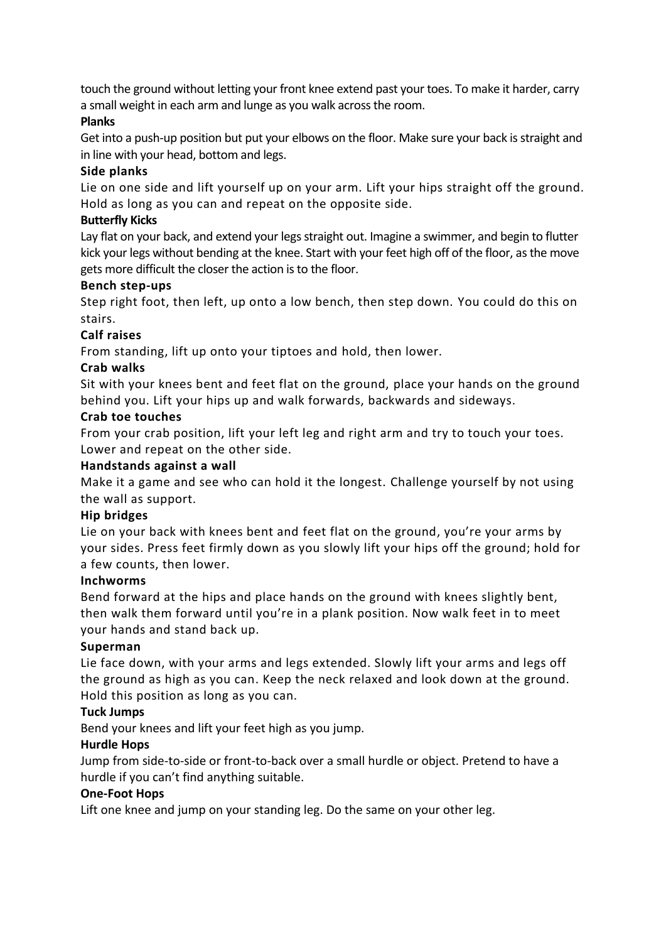touch the ground without letting your front knee extend past your toes. To make it harder, carry a small weight in each arm and lunge as you walk across the room.

## **Planks**

Get into a push-up position but put your elbows on the floor. Make sure your back is straight and in line with your head, bottom and legs.

# **Side planks**

Lie on one side and lift yourself up on your arm. Lift your hips straight off the ground. Hold as long as you can and repeat on the opposite side.

# **Butterfly Kicks**

Lay flat on your back, and extend your legs straight out. Imagine a swimmer, and begin to flutter kick your legs without bending at the knee. Start with your feet high off of the floor, asthe move gets more difficult the closer the action is to the floor.

## **Bench step-ups**

Step right foot, then left, up onto a low bench, then step down. You could do this on stairs.

# **Calf raises**

From standing, lift up onto your tiptoes and hold, then lower.

# **Crab walks**

Sit with your knees bent and feet flat on the ground, place your hands on the ground behind you. Lift your hips up and walk forwards, backwards and sideways.

# **Crab toe touches**

From your crab position, lift your left leg and right arm and try to touch your toes. Lower and repeat on the other side.

## **Handstands against a wall**

Make it a game and see who can hold it the longest. Challenge yourself by not using the wall as support.

## **Hip bridges**

Lie on your back with knees bent and feet flat on the ground, you're your arms by your sides. Press feet firmly down as you slowly lift your hips off the ground; hold for a few counts, then lower.

# **Inchworms**

Bend forward at the hips and place hands on the ground with knees slightly bent, then walk them forward until you're in a plank position. Now walk feet in to meet your hands and stand back up.

# **Superman**

Lie face down, with your arms and legs extended. Slowly lift your arms and legs off the ground as high as you can. Keep the neck relaxed and look down at the ground. Hold this position as long as you can.

# **Tuck Jumps**

Bend your knees and lift your feet high as you jump.

# **Hurdle Hops**

Jump from side-to-side or front-to-back over a small hurdle or object. Pretend to have a hurdle if you can't find anything suitable.

## **One-Foot Hops**

Lift one knee and jump on your standing leg. Do the same on your other leg.